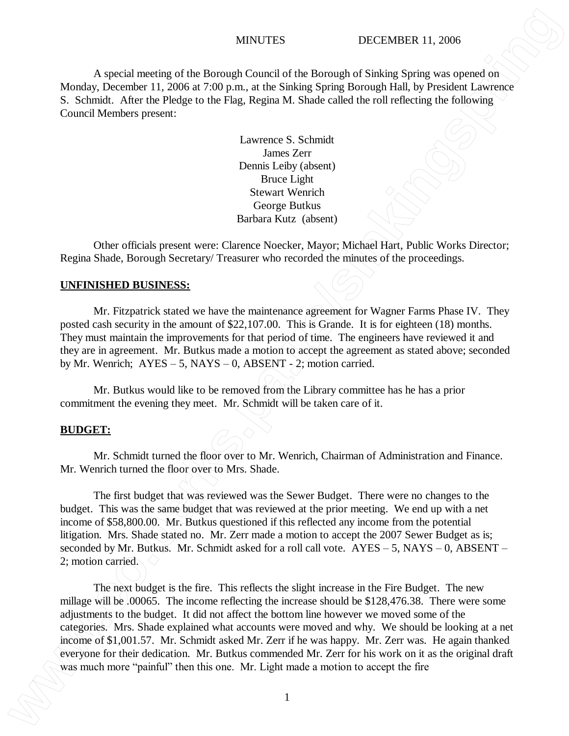## MINUTES DECEMBER 11, 2006

A special meeting of the Borough Council of the Borough of Sinking Spring was opened on Monday, December 11, 2006 at 7:00 p.m., at the Sinking Spring Borough Hall, by President Lawrence S. Schmidt. After the Pledge to the Flag, Regina M. Shade called the roll reflecting the following Council Members present:

> Lawrence S. Schmidt James Zerr Dennis Leiby (absent) Bruce Light Stewart Wenrich George Butkus Barbara Kutz (absent)

Other officials present were: Clarence Noecker, Mayor; Michael Hart, Public Works Director; Regina Shade, Borough Secretary/ Treasurer who recorded the minutes of the proceedings.

### **UNFINISHED BUSINESS:**

Mr. Fitzpatrick stated we have the maintenance agreement for Wagner Farms Phase IV. They posted cash security in the amount of \$22,107.00. This is Grande. It is for eighteen (18) months. They must maintain the improvements for that period of time. The engineers have reviewed it and they are in agreement. Mr. Butkus made a motion to accept the agreement as stated above; seconded by Mr. Wenrich;  $AYES - 5$ ,  $NAYS - 0$ ,  $ABSENT - 2$ ; motion carried.

Mr. Butkus would like to be removed from the Library committee has he has a prior commitment the evening they meet. Mr. Schmidt will be taken care of it.

### **BUDGET:**

Mr. Schmidt turned the floor over to Mr. Wenrich, Chairman of Administration and Finance. Mr. Wenrich turned the floor over to Mrs. Shade.

The first budget that was reviewed was the Sewer Budget. There were no changes to the budget. This was the same budget that was reviewed at the prior meeting. We end up with a net income of \$58,800.00. Mr. Butkus questioned if this reflected any income from the potential litigation. Mrs. Shade stated no. Mr. Zerr made a motion to accept the 2007 Sewer Budget as is; seconded by Mr. Butkus. Mr. Schmidt asked for a roll call vote.  $AYES - 5$ ,  $NAYS - 0$ ,  $ABSENT - 1$ 2; motion carried.

The next budget is the fire. This reflects the slight increase in the Fire Budget. The new millage will be .00065. The income reflecting the increase should be \$128,476.38. There were some adjustments to the budget. It did not affect the bottom line however we moved some of the categories. Mrs. Shade explained what accounts were moved and why. We should be looking at a net income of \$1,001.57. Mr. Schmidt asked Mr. Zerr if he was happy. Mr. Zerr was. He again thanked everyone for their dedication. Mr. Butkus commended Mr. Zerr for his work on it as the original draft **MINOTES DECEMBER 11.3006**<br>
Mandax, December 13.2006 a Toto pain, at the Straing System based in the Steam of the Mandax Constraint Lake Toto pain and the Steam of the Mandax properties of the Constraint Lake the Steam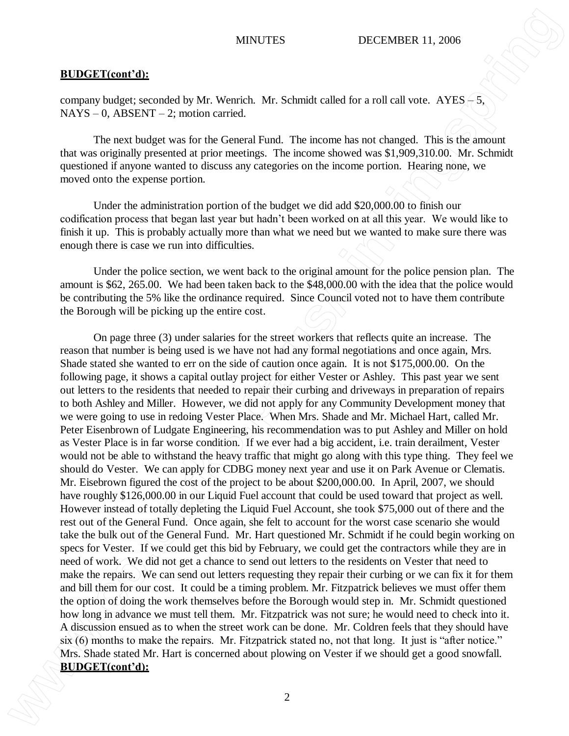# **BUDGET(cont'd):**

company budget; seconded by Mr. Wenrich. Mr. Schmidt called for a roll call vote.  $AYES = 5$ ,  $NAYS - 0$ ,  $ABSENT - 2$ ; motion carried.

The next budget was for the General Fund. The income has not changed. This is the amount that was originally presented at prior meetings. The income showed was \$1,909,310.00. Mr. Schmidt questioned if anyone wanted to discuss any categories on the income portion. Hearing none, we moved onto the expense portion.

Under the administration portion of the budget we did add \$20,000.00 to finish our codification process that began last year but hadn't been worked on at all this year. We would like to finish it up. This is probably actually more than what we need but we wanted to make sure there was enough there is case we run into difficulties.

Under the police section, we went back to the original amount for the police pension plan. The amount is \$62, 265.00. We had been taken back to the \$48,000.00 with the idea that the police would be contributing the 5% like the ordinance required. Since Council voted not to have them contribute the Borough will be picking up the entire cost.

On page three (3) under salaries for the street workers that reflects quite an increase. The reason that number is being used is we have not had any formal negotiations and once again, Mrs. Shade stated she wanted to err on the side of caution once again. It is not \$175,000.00. On the following page, it shows a capital outlay project for either Vester or Ashley. This past year we sent out letters to the residents that needed to repair their curbing and driveways in preparation of repairs to both Ashley and Miller. However, we did not apply for any Community Development money that we were going to use in redoing Vester Place. When Mrs. Shade and Mr. Michael Hart, called Mr. Peter Eisenbrown of Ludgate Engineering, his recommendation was to put Ashley and Miller on hold as Vester Place is in far worse condition. If we ever had a big accident, i.e. train derailment, Vester would not be able to withstand the heavy traffic that might go along with this type thing. They feel we should do Vester. We can apply for CDBG money next year and use it on Park Avenue or Clematis. Mr. Eisebrown figured the cost of the project to be about \$200,000.00. In April, 2007, we should have roughly \$126,000.00 in our Liquid Fuel account that could be used toward that project as well. However instead of totally depleting the Liquid Fuel Account, she took \$75,000 out of there and the rest out of the General Fund. Once again, she felt to account for the worst case scenario she would take the bulk out of the General Fund. Mr. Hart questioned Mr. Schmidt if he could begin working on specs for Vester. If we could get this bid by February, we could get the contractors while they are in need of work. We did not get a chance to send out letters to the residents on Vester that need to make the repairs. We can send out letters requesting they repair their curbing or we can fix it for them and bill them for our cost. It could be a timing problem. Mr. Fitzpatrick believes we must offer them the option of doing the work themselves before the Borough would step in. Mr. Schmidt questioned how long in advance we must tell them. Mr. Fitzpatrick was not sure; he would need to check into it. A discussion ensued as to when the street work can be done. Mr. Coldren feels that they should have six (6) months to make the repairs. Mr. Fitzpatrick stated no, not that long. It just is "after notice." Mrs. Shade stated Mr. Hart is concerned about plowing on Vester if we should get a good snowfall. **BUDGET(cont'd):**<br>**BUDGET(cont'd):**<br>**BUDGET(cont'd):**<br>**BUDGET(cont'd):**<br>**BUSC** Context of the MAC Weaklet, BLC Scholard collection and weak example, This is the amount The result begins weak for the Grammatic method. The i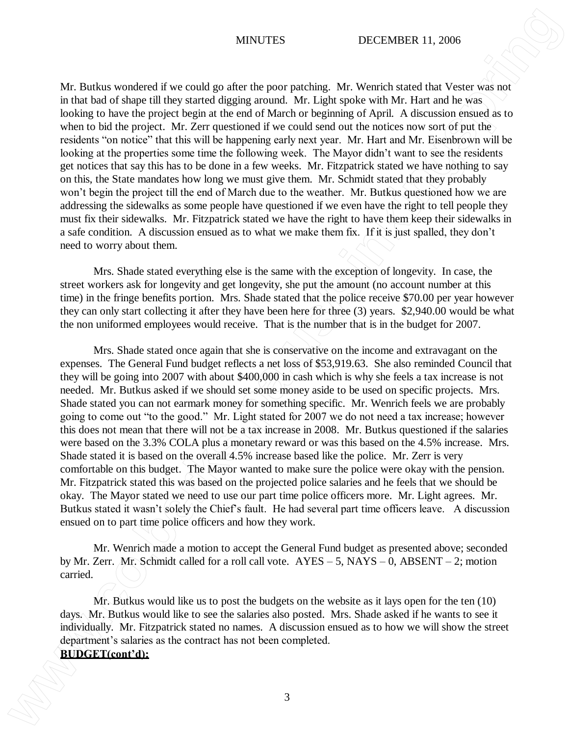## MINUTES DECEMBER 11, 2006

Mr. Butkus wondered if we could go after the poor patching. Mr. Wenrich stated that Vester was not in that bad of shape till they started digging around. Mr. Light spoke with Mr. Hart and he was looking to have the project begin at the end of March or beginning of April. A discussion ensued as to when to bid the project. Mr. Zerr questioned if we could send out the notices now sort of put the residents "on notice" that this will be happening early next year. Mr. Hart and Mr. Eisenbrown will be looking at the properties some time the following week. The Mayor didn't want to see the residents get notices that say this has to be done in a few weeks. Mr. Fitzpatrick stated we have nothing to say on this, the State mandates how long we must give them. Mr. Schmidt stated that they probably won't begin the project till the end of March due to the weather. Mr. Butkus questioned how we are addressing the sidewalks as some people have questioned if we even have the right to tell people they must fix their sidewalks. Mr. Fitzpatrick stated we have the right to have them keep their sidewalks in a safe condition. A discussion ensued as to what we make them fix. If it is just spalled, they don't need to worry about them.

Mrs. Shade stated everything else is the same with the exception of longevity. In case, the street workers ask for longevity and get longevity, she put the amount (no account number at this time) in the fringe benefits portion. Mrs. Shade stated that the police receive \$70.00 per year however they can only start collecting it after they have been here for three (3) years. \$2,940.00 would be what the non uniformed employees would receive. That is the number that is in the budget for 2007.

Mrs. Shade stated once again that she is conservative on the income and extravagant on the expenses. The General Fund budget reflects a net loss of \$53,919.63. She also reminded Council that they will be going into 2007 with about \$400,000 in cash which is why she feels a tax increase is not needed. Mr. Butkus asked if we should set some money aside to be used on specific projects. Mrs. Shade stated you can not earmark money for something specific. Mr. Wenrich feels we are probably going to come out "to the good." Mr. Light stated for 2007 we do not need a tax increase; however this does not mean that there will not be a tax increase in 2008. Mr. Butkus questioned if the salaries were based on the 3.3% COLA plus a monetary reward or was this based on the 4.5% increase. Mrs. Shade stated it is based on the overall 4.5% increase based like the police. Mr. Zerr is very comfortable on this budget. The Mayor wanted to make sure the police were okay with the pension. Mr. Fitzpatrick stated this was based on the projected police salaries and he feels that we should be okay. The Mayor stated we need to use our part time police officers more. Mr. Light agrees. Mr. Butkus stated it wasn't solely the Chief's fault. He had several part time officers leave. A discussion ensued on to part time police officers and how they work. **BURGES Bushes wondered live condition** and the proof packing. She Works housded and Weight and the state and the state and the state and the state of the state of the state of the state of the state of the state of the

Mr. Wenrich made a motion to accept the General Fund budget as presented above; seconded by Mr. Zerr. Mr. Schmidt called for a roll call vote. AYES – 5, NAYS – 0, ABSENT – 2; motion carried.

Mr. Butkus would like us to post the budgets on the website as it lays open for the ten (10) days. Mr. Butkus would like to see the salaries also posted. Mrs. Shade asked if he wants to see it individually. Mr. Fitzpatrick stated no names. A discussion ensued as to how we will show the street department's salaries as the contract has not been completed.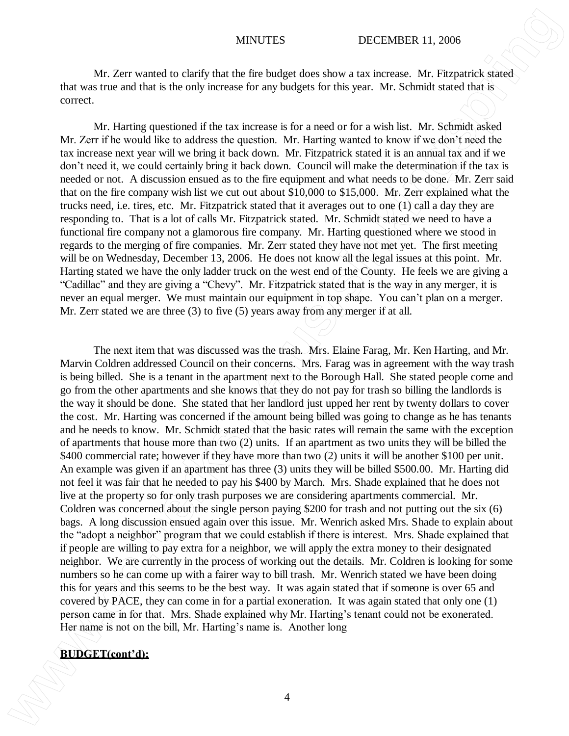Mr. Zerr wanted to clarify that the fire budget does show a tax increase. Mr. Fitzpatrick stated that was true and that is the only increase for any budgets for this year. Mr. Schmidt stated that is correct.

Mr. Harting questioned if the tax increase is for a need or for a wish list. Mr. Schmidt asked Mr. Zerr if he would like to address the question. Mr. Harting wanted to know if we don't need the tax increase next year will we bring it back down. Mr. Fitzpatrick stated it is an annual tax and if we don't need it, we could certainly bring it back down. Council will make the determination if the tax is needed or not. A discussion ensued as to the fire equipment and what needs to be done. Mr. Zerr said that on the fire company wish list we cut out about \$10,000 to \$15,000. Mr. Zerr explained what the trucks need, i.e. tires, etc. Mr. Fitzpatrick stated that it averages out to one (1) call a day they are responding to. That is a lot of calls Mr. Fitzpatrick stated. Mr. Schmidt stated we need to have a functional fire company not a glamorous fire company. Mr. Harting questioned where we stood in regards to the merging of fire companies. Mr. Zerr stated they have not met yet. The first meeting will be on Wednesday, December 13, 2006. He does not know all the legal issues at this point. Mr. Harting stated we have the only ladder truck on the west end of the County. He feels we are giving a "Cadillac" and they are giving a "Chevy". Mr. Fitzpatrick stated that is the way in any merger, it is never an equal merger. We must maintain our equipment in top shape. You can't plan on a merger. Mr. Zerr stated we are three (3) to five (5) years away from any merger if at all.

The next item that was discussed was the trash. Mrs. Elaine Farag, Mr. Ken Harting, and Mr. Marvin Coldren addressed Council on their concerns. Mrs. Farag was in agreement with the way trash is being billed. She is a tenant in the apartment next to the Borough Hall. She stated people come and go from the other apartments and she knows that they do not pay for trash so billing the landlords is the way it should be done. She stated that her landlord just upped her rent by twenty dollars to cover the cost. Mr. Harting was concerned if the amount being billed was going to change as he has tenants and he needs to know. Mr. Schmidt stated that the basic rates will remain the same with the exception of apartments that house more than two (2) units. If an apartment as two units they will be billed the \$400 commercial rate; however if they have more than two (2) units it will be another \$100 per unit. An example was given if an apartment has three (3) units they will be billed \$500.00. Mr. Harting did not feel it was fair that he needed to pay his \$400 by March. Mrs. Shade explained that he does not live at the property so for only trash purposes we are considering apartments commercial. Mr. Coldren was concerned about the single person paying \$200 for trash and not putting out the six (6) bags. A long discussion ensued again over this issue. Mr. Wenrich asked Mrs. Shade to explain about the "adopt a neighbor" program that we could establish if there is interest. Mrs. Shade explained that if people are willing to pay extra for a neighbor, we will apply the extra money to their designated neighbor. We are currently in the process of working out the details. Mr. Coldren is looking for some numbers so he can come up with a fairer way to bill trash. Mr. Wenrich stated we have been doing this for years and this seems to be the best way. It was again stated that if someone is over 65 and covered by PACE, they can come in for a partial exoneration. It was again stated that only one (1) person came in for that. Mrs. Shade explained why Mr. Harting's tenant could not be exonerated. Her name is not on the bill, Mr. Harting's name is. Another long **BUCCES**<br>We Transmiss on clarify that the first hardpoint of the interaction of the Termineis of the state was several that we are the state of the state of the state. This shall content the state was the state of the stat